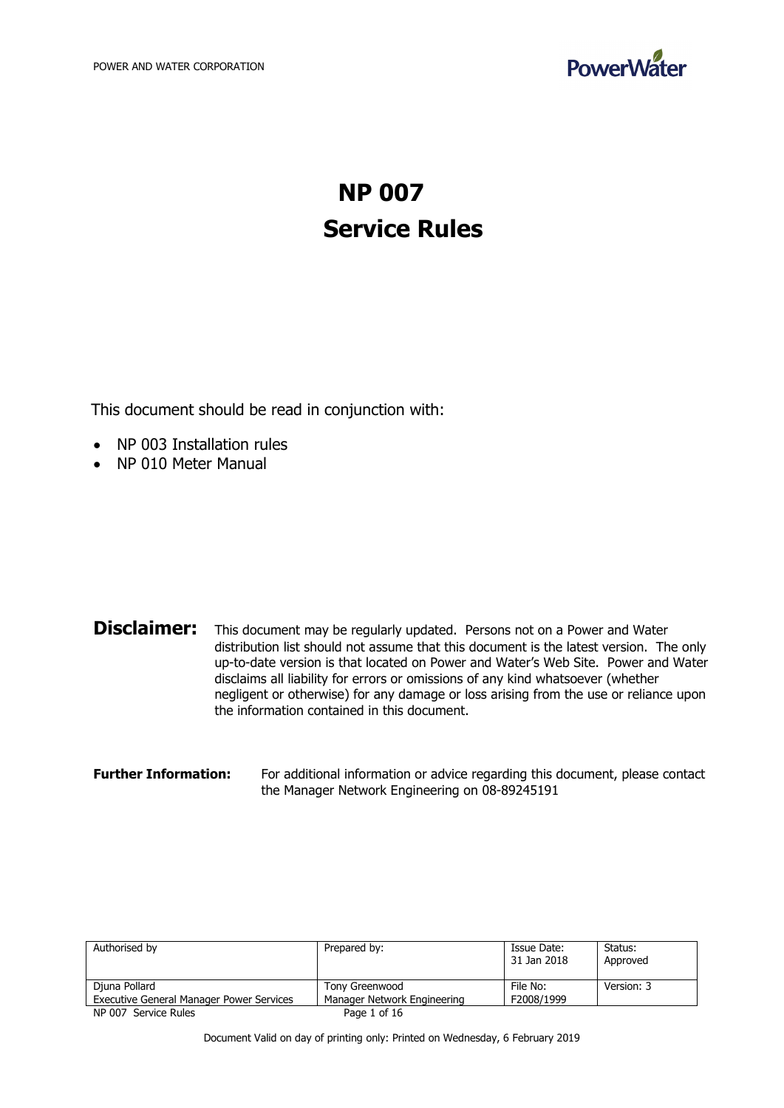

# **NP 007 Service Rules**

This document should be read in conjunction with:

- NP 003 Installation rules
- NP 010 Meter Manual

| <b>Disclaimer:</b><br>This document may be regularly updated. Persons not on a Power and Water<br>distribution list should not assume that this document is the latest version. The only<br>up-to-date version is that located on Power and Water's Web Site. Power and Water<br>disclaims all liability for errors or omissions of any kind whatsoever (whether<br>negligent or otherwise) for any damage or loss arising from the use or reliance upon |
|----------------------------------------------------------------------------------------------------------------------------------------------------------------------------------------------------------------------------------------------------------------------------------------------------------------------------------------------------------------------------------------------------------------------------------------------------------|
| the information contained in this document.                                                                                                                                                                                                                                                                                                                                                                                                              |
|                                                                                                                                                                                                                                                                                                                                                                                                                                                          |

| <b>Further Information:</b> | For additional information or advice regarding this document, please contact |
|-----------------------------|------------------------------------------------------------------------------|
|                             | the Manager Network Engineering on 08-89245191                               |

| Authorised by                                   | Prepared by:                | Issue Date:<br>31 Jan 2018 | Status:<br>Approved |
|-------------------------------------------------|-----------------------------|----------------------------|---------------------|
| Djuna Pollard                                   | Tony Greenwood              | File No:                   | Version: 3          |
| <b>Executive General Manager Power Services</b> | Manager Network Engineering | F2008/1999                 |                     |
| NP 007 Service Rules                            | Page 1 of 16                |                            |                     |

Document Valid on day of printing only: Printed on Wednesday, 6 February 2019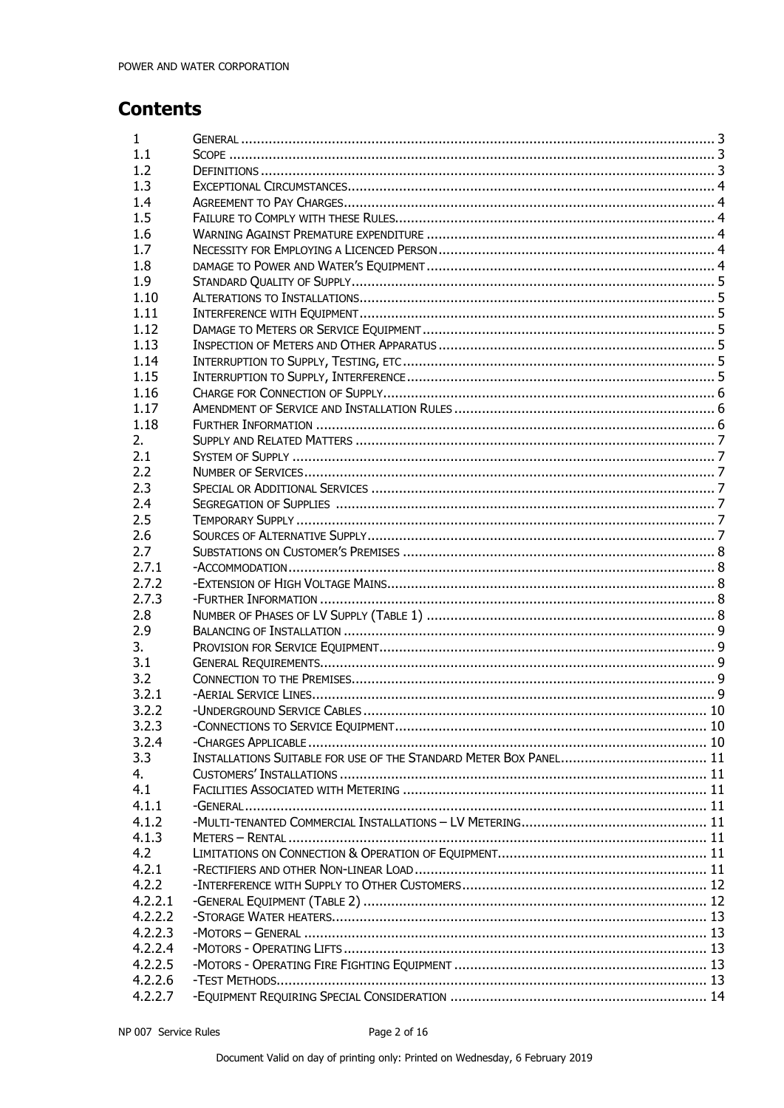# **Contents**

| $\mathbf{1}$ |  |
|--------------|--|
| 1.1          |  |
| 1.2          |  |
| 1.3          |  |
| 1.4          |  |
| 1.5          |  |
| 1.6          |  |
| 1.7          |  |
| 1.8          |  |
| 1.9          |  |
| 1.10         |  |
| 1.11         |  |
| 1.12         |  |
| 1.13         |  |
| 1.14         |  |
|              |  |
| 1.15         |  |
| 1.16         |  |
| 1.17         |  |
| 1.18         |  |
| 2.           |  |
| 2.1          |  |
| 2.2          |  |
| 2.3          |  |
| 2.4          |  |
| 2.5          |  |
| 2.6          |  |
| 2.7          |  |
| 2.7.1        |  |
| 2.7.2        |  |
| 2.7.3        |  |
| 2.8          |  |
| 2.9          |  |
| 3.           |  |
| 3.1          |  |
| 3.2          |  |
| 3.2.1        |  |
| 3.2.2        |  |
|              |  |
| 3.2.3        |  |
| 3.2.4        |  |
| 3.3          |  |
| 4.           |  |
| 4.1          |  |
| 4.1.1        |  |
| 4.1.2        |  |
| 4.1.3        |  |
| 4.2          |  |
| 4.2.1        |  |
| 4.2.2        |  |
| 4.2.2.1      |  |
| 4.2.2.2      |  |
| 4.2.2.3      |  |
| 4.2.2.4      |  |
| 4.2.2.5      |  |
| 4.2.2.6      |  |
| 4.2.2.7      |  |
|              |  |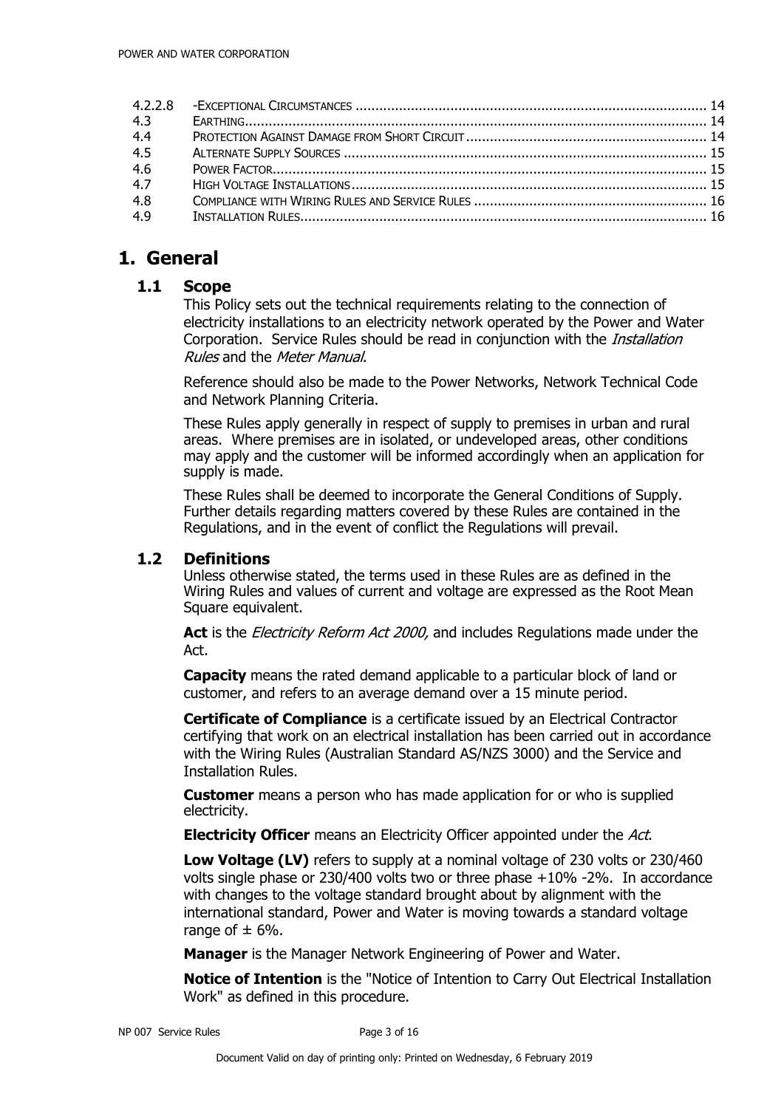| 4.3 |  |
|-----|--|
| 4.4 |  |
| 4.5 |  |
| 4.6 |  |
| 4.7 |  |
| 4.8 |  |
| 4.9 |  |
|     |  |

# **1. General**

# **1.1 Scope**

This Policy sets out the technical requirements relating to the connection of electricity installations to an electricity network operated by the Power and Water Corporation. Service Rules should be read in conjunction with the *Installation* Rules and the Meter Manual.

Reference should also be made to the Power Networks, Network Technical Code and Network Planning Criteria.

These Rules apply generally in respect of supply to premises in urban and rural areas. Where premises are in isolated, or undeveloped areas, other conditions may apply and the customer will be informed accordingly when an application for supply is made.

These Rules shall be deemed to incorporate the General Conditions of Supply. Further details regarding matters covered by these Rules are contained in the Regulations, and in the event of conflict the Regulations will prevail.

# **1.2 Definitions**

Unless otherwise stated, the terms used in these Rules are as defined in the Wiring Rules and values of current and voltage are expressed as the Root Mean Square equivalent.

Act is the *Electricity Reform Act 2000*, and includes Regulations made under the Act.

**Capacity** means the rated demand applicable to a particular block of land or customer, and refers to an average demand over a 15 minute period.

**Certificate of Compliance** is a certificate issued by an Electrical Contractor certifying that work on an electrical installation has been carried out in accordance with the Wiring Rules (Australian Standard AS/NZS 3000) and the Service and Installation Rules.

**Customer** means a person who has made application for or who is supplied electricity.

**Electricity Officer** means an Electricity Officer appointed under the *Act*.

**Low Voltage (LV)** refers to supply at a nominal voltage of 230 volts or 230/460 volts single phase or 230/400 volts two or three phase +10% -2%. In accordance with changes to the voltage standard brought about by alignment with the international standard, Power and Water is moving towards a standard voltage range of  $\pm$  6%.

**Manager** is the Manager Network Engineering of Power and Water.

**Notice of Intention** is the "Notice of Intention to Carry Out Electrical Installation Work" as defined in this procedure.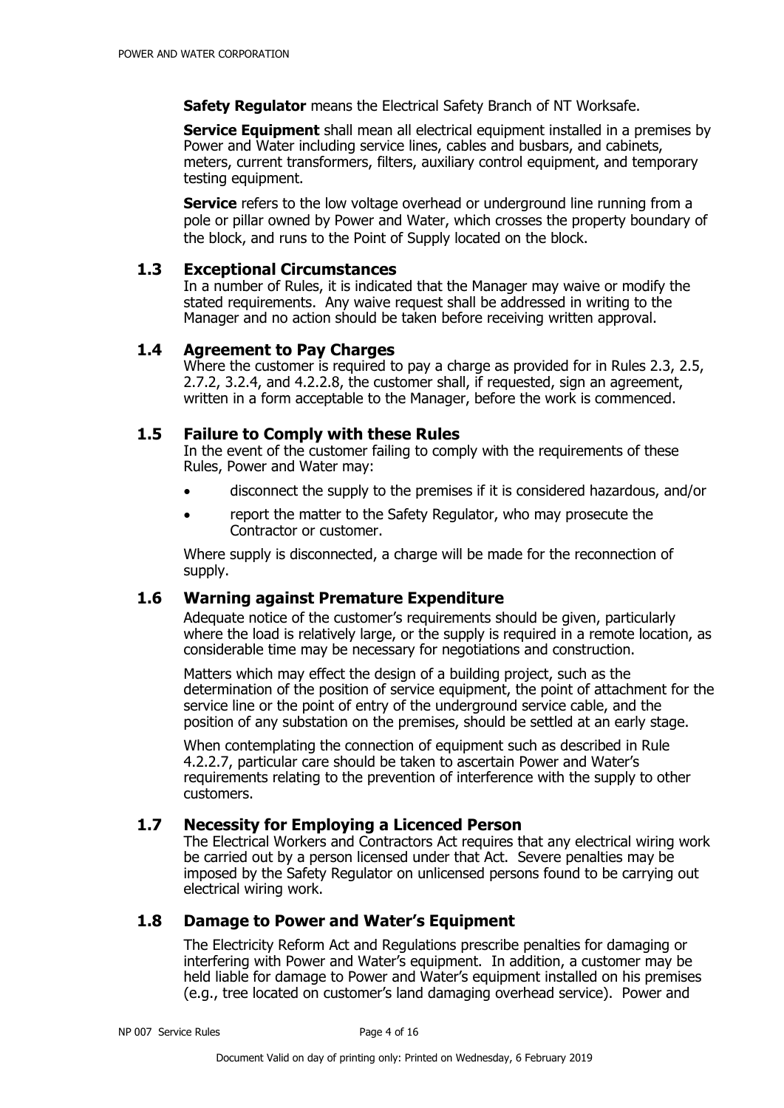**Safety Regulator** means the Electrical Safety Branch of NT Worksafe.

**Service Equipment** shall mean all electrical equipment installed in a premises by Power and Water including service lines, cables and busbars, and cabinets, meters, current transformers, filters, auxiliary control equipment, and temporary testing equipment.

**Service** refers to the low voltage overhead or underground line running from a pole or pillar owned by Power and Water, which crosses the property boundary of the block, and runs to the Point of Supply located on the block.

# **1.3 Exceptional Circumstances**

In a number of Rules, it is indicated that the Manager may waive or modify the stated requirements. Any waive request shall be addressed in writing to the Manager and no action should be taken before receiving written approval.

# **1.4 Agreement to Pay Charges**

Where the customer is required to pay a charge as provided for in Rules 2.3, 2.5, 2.7.2, 3.2.4, and 4.2.2.8, the customer shall, if requested, sign an agreement, written in a form acceptable to the Manager, before the work is commenced.

# **1.5 Failure to Comply with these Rules**

In the event of the customer failing to comply with the requirements of these Rules, Power and Water may:

- disconnect the supply to the premises if it is considered hazardous, and/or
- report the matter to the Safety Regulator, who may prosecute the Contractor or customer.

Where supply is disconnected, a charge will be made for the reconnection of supply.

# **1.6 Warning against Premature Expenditure**

Adequate notice of the customer's requirements should be given, particularly where the load is relatively large, or the supply is required in a remote location, as considerable time may be necessary for negotiations and construction.

Matters which may effect the design of a building project, such as the determination of the position of service equipment, the point of attachment for the service line or the point of entry of the underground service cable, and the position of any substation on the premises, should be settled at an early stage.

When contemplating the connection of equipment such as described in Rule 4.2.2.7, particular care should be taken to ascertain Power and Water's requirements relating to the prevention of interference with the supply to other customers.

# **1.7 Necessity for Employing a Licenced Person**

The Electrical Workers and Contractors Act requires that any electrical wiring work be carried out by a person licensed under that Act. Severe penalties may be imposed by the Safety Regulator on unlicensed persons found to be carrying out electrical wiring work.

# **1.8 Damage to Power and Water's Equipment**

The Electricity Reform Act and Regulations prescribe penalties for damaging or interfering with Power and Water's equipment. In addition, a customer may be held liable for damage to Power and Water's equipment installed on his premises (e.g., tree located on customer's land damaging overhead service). Power and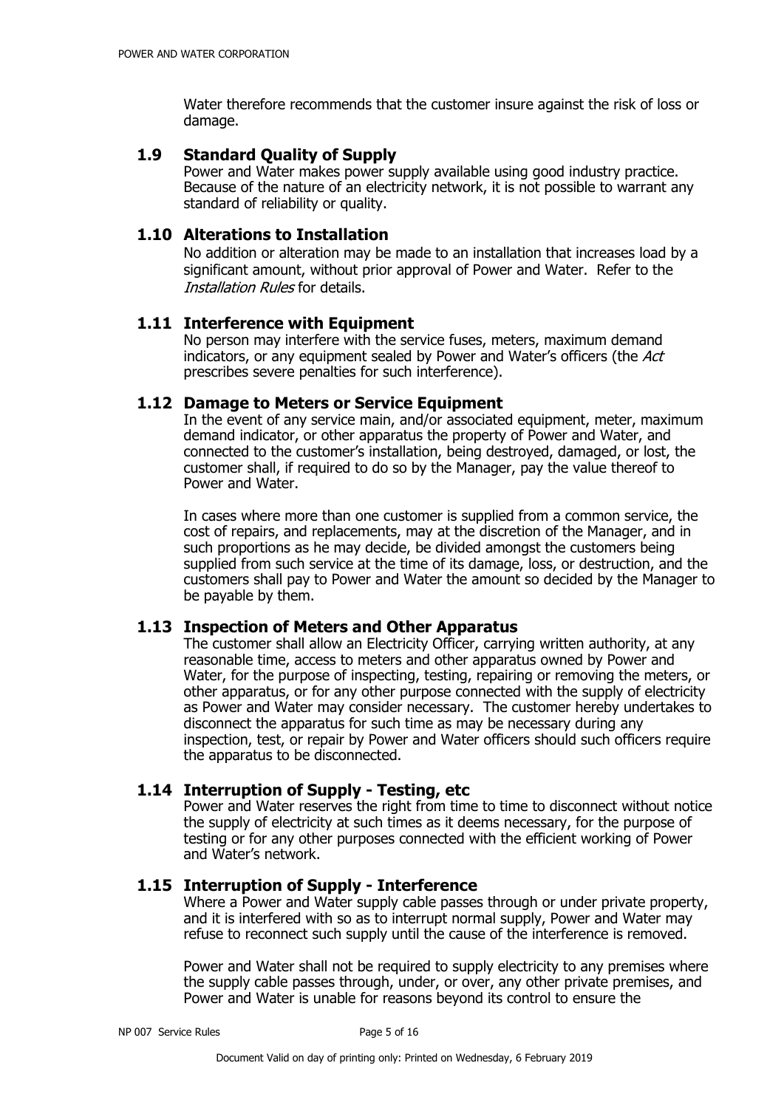Water therefore recommends that the customer insure against the risk of loss or damage.

# **1.9 Standard Quality of Supply**

Power and Water makes power supply available using good industry practice. Because of the nature of an electricity network, it is not possible to warrant any standard of reliability or quality.

# **1.10 Alterations to Installation**

No addition or alteration may be made to an installation that increases load by a significant amount, without prior approval of Power and Water. Refer to the Installation Rules for details.

# **1.11 Interference with Equipment**

No person may interfere with the service fuses, meters, maximum demand indicators, or any equipment sealed by Power and Water's officers (the Act prescribes severe penalties for such interference).

# **1.12 Damage to Meters or Service Equipment**

In the event of any service main, and/or associated equipment, meter, maximum demand indicator, or other apparatus the property of Power and Water, and connected to the customer's installation, being destroyed, damaged, or lost, the customer shall, if required to do so by the Manager, pay the value thereof to Power and Water.

In cases where more than one customer is supplied from a common service, the cost of repairs, and replacements, may at the discretion of the Manager, and in such proportions as he may decide, be divided amongst the customers being supplied from such service at the time of its damage, loss, or destruction, and the customers shall pay to Power and Water the amount so decided by the Manager to be payable by them.

# **1.13 Inspection of Meters and Other Apparatus**

The customer shall allow an Electricity Officer, carrying written authority, at any reasonable time, access to meters and other apparatus owned by Power and Water, for the purpose of inspecting, testing, repairing or removing the meters, or other apparatus, or for any other purpose connected with the supply of electricity as Power and Water may consider necessary. The customer hereby undertakes to disconnect the apparatus for such time as may be necessary during any inspection, test, or repair by Power and Water officers should such officers require the apparatus to be disconnected.

# **1.14 Interruption of Supply - Testing, etc**

Power and Water reserves the right from time to time to disconnect without notice the supply of electricity at such times as it deems necessary, for the purpose of testing or for any other purposes connected with the efficient working of Power and Water's network.

# **1.15 Interruption of Supply - Interference**

Where a Power and Water supply cable passes through or under private property, and it is interfered with so as to interrupt normal supply, Power and Water may refuse to reconnect such supply until the cause of the interference is removed.

Power and Water shall not be required to supply electricity to any premises where the supply cable passes through, under, or over, any other private premises, and Power and Water is unable for reasons beyond its control to ensure the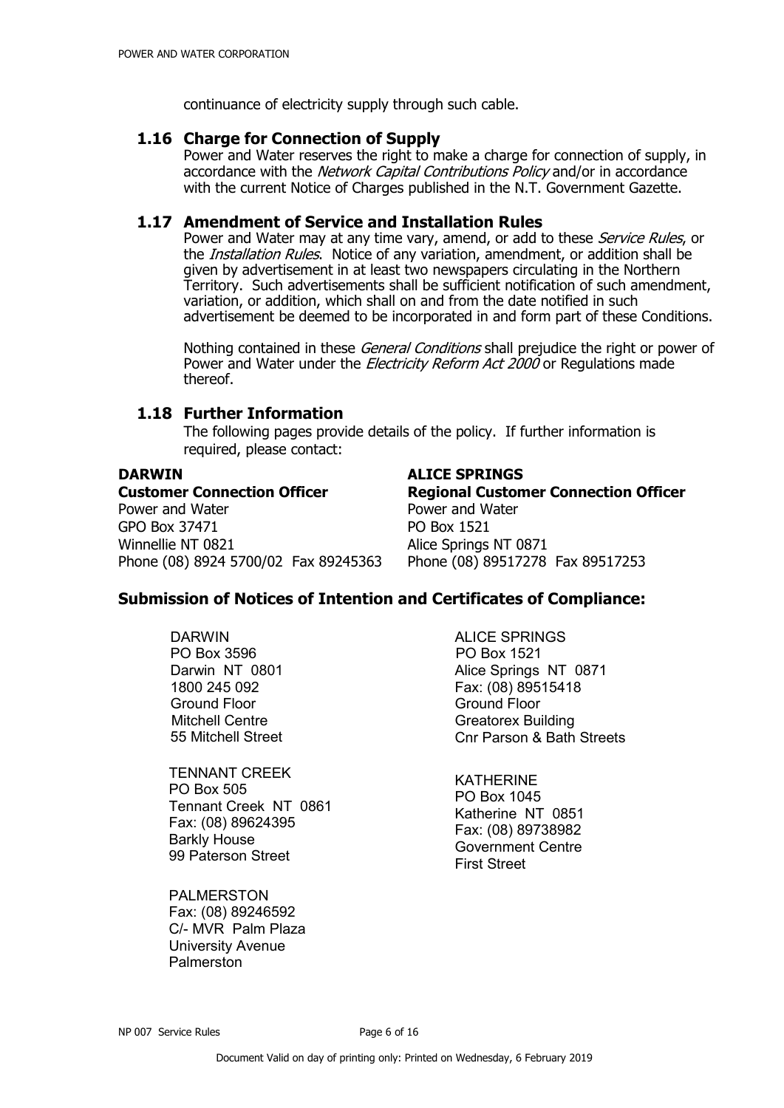continuance of electricity supply through such cable.

### **1.16 Charge for Connection of Supply**

Power and Water reserves the right to make a charge for connection of supply, in accordance with the *Network Capital Contributions Policy* and/or in accordance with the current Notice of Charges published in the N.T. Government Gazette.

### **1.17 Amendment of Service and Installation Rules**

Power and Water may at any time vary, amend, or add to these *Service Rules*, or the *Installation Rules*. Notice of any variation, amendment, or addition shall be given by advertisement in at least two newspapers circulating in the Northern Territory. Such advertisements shall be sufficient notification of such amendment, variation, or addition, which shall on and from the date notified in such advertisement be deemed to be incorporated in and form part of these Conditions.

Nothing contained in these *General Conditions* shall prejudice the right or power of Power and Water under the *Electricity Reform Act 2000* or Regulations made thereof.

# **1.18 Further Information**

The following pages provide details of the policy. If further information is required, please contact:

Power and Water **Power and Water** GPO Box 37471 PO Box 1521 Winnellie NT 0821 Alice Springs NT 0871 Phone (08) 8924 5700/02 Fax 89245363 Phone (08) 89517278 Fax 89517253

### **DARWIN ALICE SPRINGS**

**Customer Connection Officer Regional Customer Connection Officer**

# **Submission of Notices of Intention and Certificates of Compliance:**

DARWIN PO Box 3596 Darwin NT 0801 1800 245 092 Ground Floor Mitchell Centre 55 Mitchell Street

TENNANT CREEK PO Box 505 Tennant Creek NT 0861 Fax: (08) 89624395 Barkly House 99 Paterson Street

PALMERSTON Fax: (08) 89246592 C/- MVR Palm Plaza University Avenue Palmerston

ALICE SPRINGS PO Box 1521 Alice Springs NT 0871 Fax: (08) 89515418 Ground Floor Greatorex Building Cnr Parson & Bath Streets

KATHERINE PO Box 1045 Katherine NT 0851 Fax: (08) 89738982 Government Centre First Street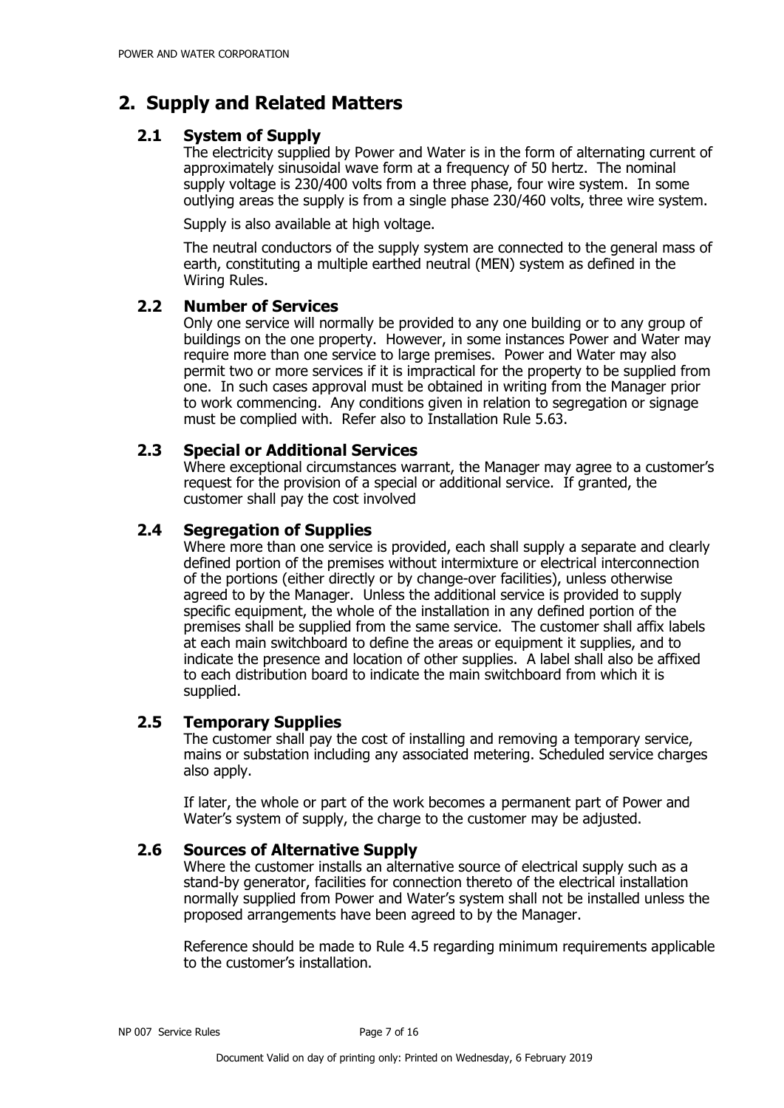# **2. Supply and Related Matters**

# **2.1 System of Supply**

The electricity supplied by Power and Water is in the form of alternating current of approximately sinusoidal wave form at a frequency of 50 hertz. The nominal supply voltage is 230/400 volts from a three phase, four wire system. In some outlying areas the supply is from a single phase 230/460 volts, three wire system.

Supply is also available at high voltage.

The neutral conductors of the supply system are connected to the general mass of earth, constituting a multiple earthed neutral (MEN) system as defined in the Wiring Rules.

# **2.2 Number of Services**

Only one service will normally be provided to any one building or to any group of buildings on the one property. However, in some instances Power and Water may require more than one service to large premises. Power and Water may also permit two or more services if it is impractical for the property to be supplied from one. In such cases approval must be obtained in writing from the Manager prior to work commencing. Any conditions given in relation to segregation or signage must be complied with. Refer also to Installation Rule 5.63.

# **2.3 Special or Additional Services**

Where exceptional circumstances warrant, the Manager may agree to a customer's request for the provision of a special or additional service. If granted, the customer shall pay the cost involved

# **2.4 Segregation of Supplies**

Where more than one service is provided, each shall supply a separate and clearly defined portion of the premises without intermixture or electrical interconnection of the portions (either directly or by change-over facilities), unless otherwise agreed to by the Manager. Unless the additional service is provided to supply specific equipment, the whole of the installation in any defined portion of the premises shall be supplied from the same service. The customer shall affix labels at each main switchboard to define the areas or equipment it supplies, and to indicate the presence and location of other supplies. A label shall also be affixed to each distribution board to indicate the main switchboard from which it is supplied.

# **2.5 Temporary Supplies**

The customer shall pay the cost of installing and removing a temporary service, mains or substation including any associated metering. Scheduled service charges also apply.

If later, the whole or part of the work becomes a permanent part of Power and Water's system of supply, the charge to the customer may be adjusted.

# **2.6 Sources of Alternative Supply**

Where the customer installs an alternative source of electrical supply such as a stand-by generator, facilities for connection thereto of the electrical installation normally supplied from Power and Water's system shall not be installed unless the proposed arrangements have been agreed to by the Manager.

Reference should be made to Rule 4.5 regarding minimum requirements applicable to the customer's installation.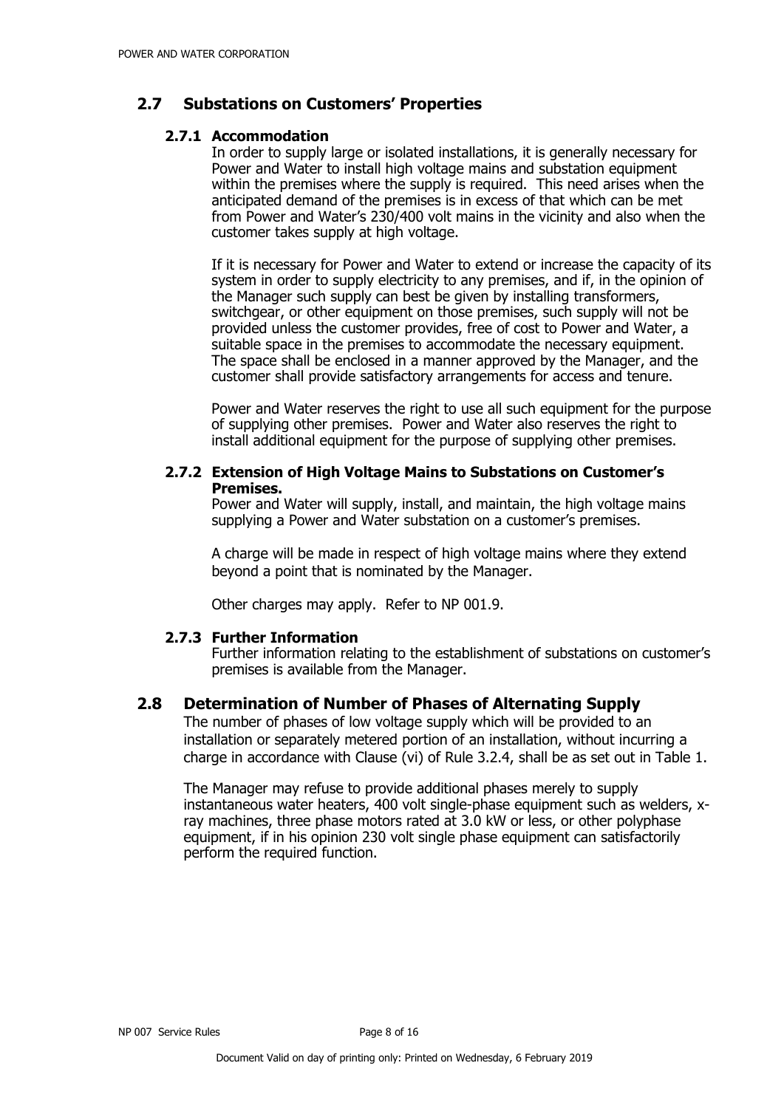# **2.7 Substations on Customers' Properties**

# **2.7.1 Accommodation**

In order to supply large or isolated installations, it is generally necessary for Power and Water to install high voltage mains and substation equipment within the premises where the supply is required. This need arises when the anticipated demand of the premises is in excess of that which can be met from Power and Water's 230/400 volt mains in the vicinity and also when the customer takes supply at high voltage.

If it is necessary for Power and Water to extend or increase the capacity of its system in order to supply electricity to any premises, and if, in the opinion of the Manager such supply can best be given by installing transformers, switchgear, or other equipment on those premises, such supply will not be provided unless the customer provides, free of cost to Power and Water, a suitable space in the premises to accommodate the necessary equipment. The space shall be enclosed in a manner approved by the Manager, and the customer shall provide satisfactory arrangements for access and tenure.

Power and Water reserves the right to use all such equipment for the purpose of supplying other premises. Power and Water also reserves the right to install additional equipment for the purpose of supplying other premises.

# **2.7.2 Extension of High Voltage Mains to Substations on Customer's Premises.**

Power and Water will supply, install, and maintain, the high voltage mains supplying a Power and Water substation on a customer's premises.

A charge will be made in respect of high voltage mains where they extend beyond a point that is nominated by the Manager.

Other charges may apply. Refer to NP 001.9.

# **2.7.3 Further Information**

Further information relating to the establishment of substations on customer's premises is available from the Manager.

# **2.8 Determination of Number of Phases of Alternating Supply**

The number of phases of low voltage supply which will be provided to an installation or separately metered portion of an installation, without incurring a charge in accordance with Clause (vi) of Rule 3.2.4, shall be as set out in Table 1.

The Manager may refuse to provide additional phases merely to supply instantaneous water heaters, 400 volt single-phase equipment such as welders, xray machines, three phase motors rated at 3.0 kW or less, or other polyphase equipment, if in his opinion 230 volt single phase equipment can satisfactorily perform the required function.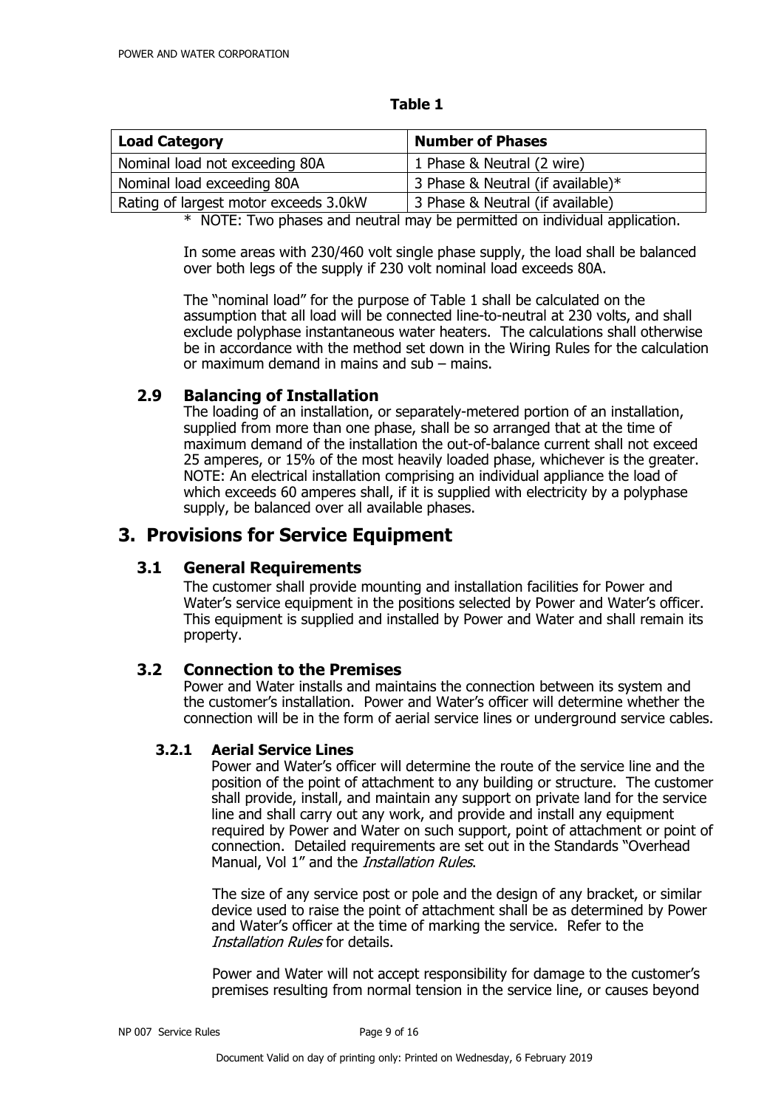| <b>Load Category</b>                  | <b>Number of Phases</b>           |  |
|---------------------------------------|-----------------------------------|--|
| Nominal load not exceeding 80A        | 1 Phase & Neutral (2 wire)        |  |
| Nominal load exceeding 80A            | 3 Phase & Neutral (if available)* |  |
| Rating of largest motor exceeds 3.0kW | 3 Phase & Neutral (if available)  |  |

#### **Table 1**

\* NOTE: Two phases and neutral may be permitted on individual application.

In some areas with 230/460 volt single phase supply, the load shall be balanced over both legs of the supply if 230 volt nominal load exceeds 80A.

The "nominal load" for the purpose of Table 1 shall be calculated on the assumption that all load will be connected line-to-neutral at 230 volts, and shall exclude polyphase instantaneous water heaters. The calculations shall otherwise be in accordance with the method set down in the Wiring Rules for the calculation or maximum demand in mains and sub – mains.

# **2.9 Balancing of Installation**

The loading of an installation, or separately-metered portion of an installation, supplied from more than one phase, shall be so arranged that at the time of maximum demand of the installation the out-of-balance current shall not exceed 25 amperes, or 15% of the most heavily loaded phase, whichever is the greater. NOTE: An electrical installation comprising an individual appliance the load of which exceeds 60 amperes shall, if it is supplied with electricity by a polyphase supply, be balanced over all available phases.

# **3. Provisions for Service Equipment**

# **3.1 General Requirements**

The customer shall provide mounting and installation facilities for Power and Water's service equipment in the positions selected by Power and Water's officer. This equipment is supplied and installed by Power and Water and shall remain its property.

# **3.2 Connection to the Premises**

Power and Water installs and maintains the connection between its system and the customer's installation. Power and Water's officer will determine whether the connection will be in the form of aerial service lines or underground service cables.

# **3.2.1 Aerial Service Lines**

Power and Water's officer will determine the route of the service line and the position of the point of attachment to any building or structure. The customer shall provide, install, and maintain any support on private land for the service line and shall carry out any work, and provide and install any equipment required by Power and Water on such support, point of attachment or point of connection. Detailed requirements are set out in the Standards "Overhead Manual, Vol 1" and the *Installation Rules*.

The size of any service post or pole and the design of any bracket, or similar device used to raise the point of attachment shall be as determined by Power and Water's officer at the time of marking the service. Refer to the Installation Rules for details.

Power and Water will not accept responsibility for damage to the customer's premises resulting from normal tension in the service line, or causes beyond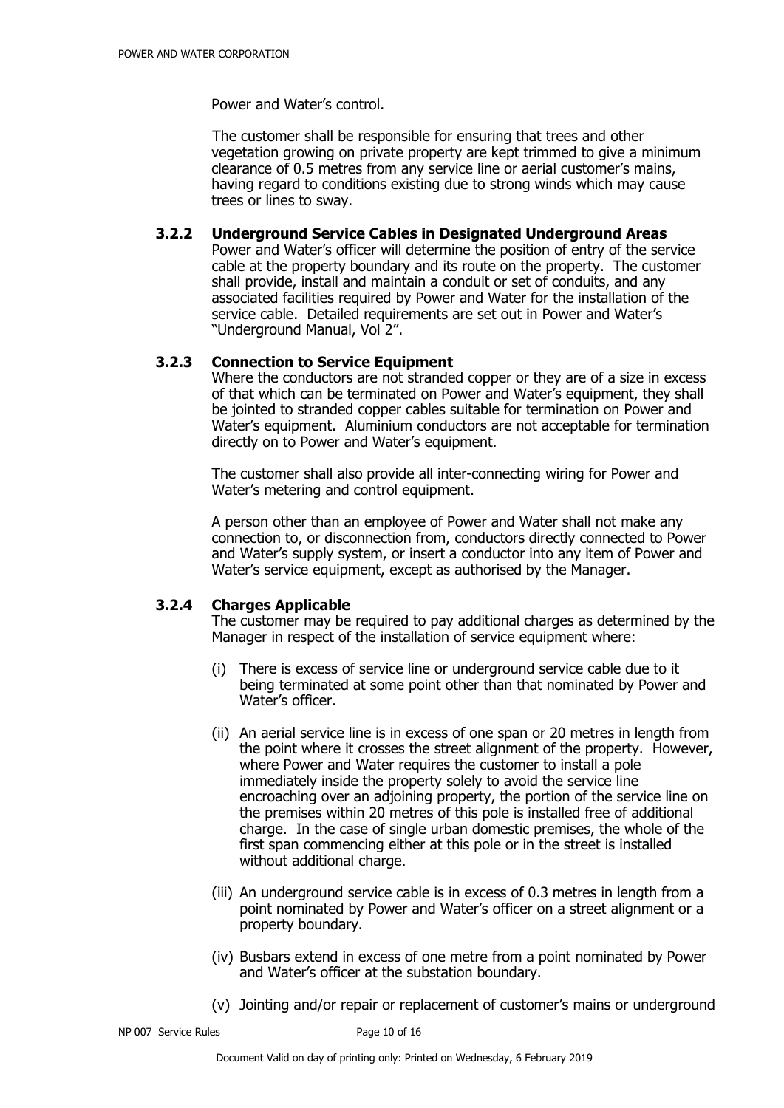Power and Water's control.

The customer shall be responsible for ensuring that trees and other vegetation growing on private property are kept trimmed to give a minimum clearance of 0.5 metres from any service line or aerial customer's mains, having regard to conditions existing due to strong winds which may cause trees or lines to sway.

### **3.2.2 Underground Service Cables in Designated Underground Areas**

Power and Water's officer will determine the position of entry of the service cable at the property boundary and its route on the property. The customer shall provide, install and maintain a conduit or set of conduits, and any associated facilities required by Power and Water for the installation of the service cable. Detailed requirements are set out in Power and Water's "Underground Manual, Vol 2".

#### **3.2.3 Connection to Service Equipment**

Where the conductors are not stranded copper or they are of a size in excess of that which can be terminated on Power and Water's equipment, they shall be jointed to stranded copper cables suitable for termination on Power and Water's equipment. Aluminium conductors are not acceptable for termination directly on to Power and Water's equipment.

The customer shall also provide all inter-connecting wiring for Power and Water's metering and control equipment.

A person other than an employee of Power and Water shall not make any connection to, or disconnection from, conductors directly connected to Power and Water's supply system, or insert a conductor into any item of Power and Water's service equipment, except as authorised by the Manager.

# **3.2.4 Charges Applicable**

The customer may be required to pay additional charges as determined by the Manager in respect of the installation of service equipment where:

- (i) There is excess of service line or underground service cable due to it being terminated at some point other than that nominated by Power and Water's officer.
- (ii) An aerial service line is in excess of one span or 20 metres in length from the point where it crosses the street alignment of the property. However, where Power and Water requires the customer to install a pole immediately inside the property solely to avoid the service line encroaching over an adjoining property, the portion of the service line on the premises within 20 metres of this pole is installed free of additional charge. In the case of single urban domestic premises, the whole of the first span commencing either at this pole or in the street is installed without additional charge.
- (iii) An underground service cable is in excess of 0.3 metres in length from a point nominated by Power and Water's officer on a street alignment or a property boundary.
- (iv) Busbars extend in excess of one metre from a point nominated by Power and Water's officer at the substation boundary.
- (v) Jointing and/or repair or replacement of customer's mains or underground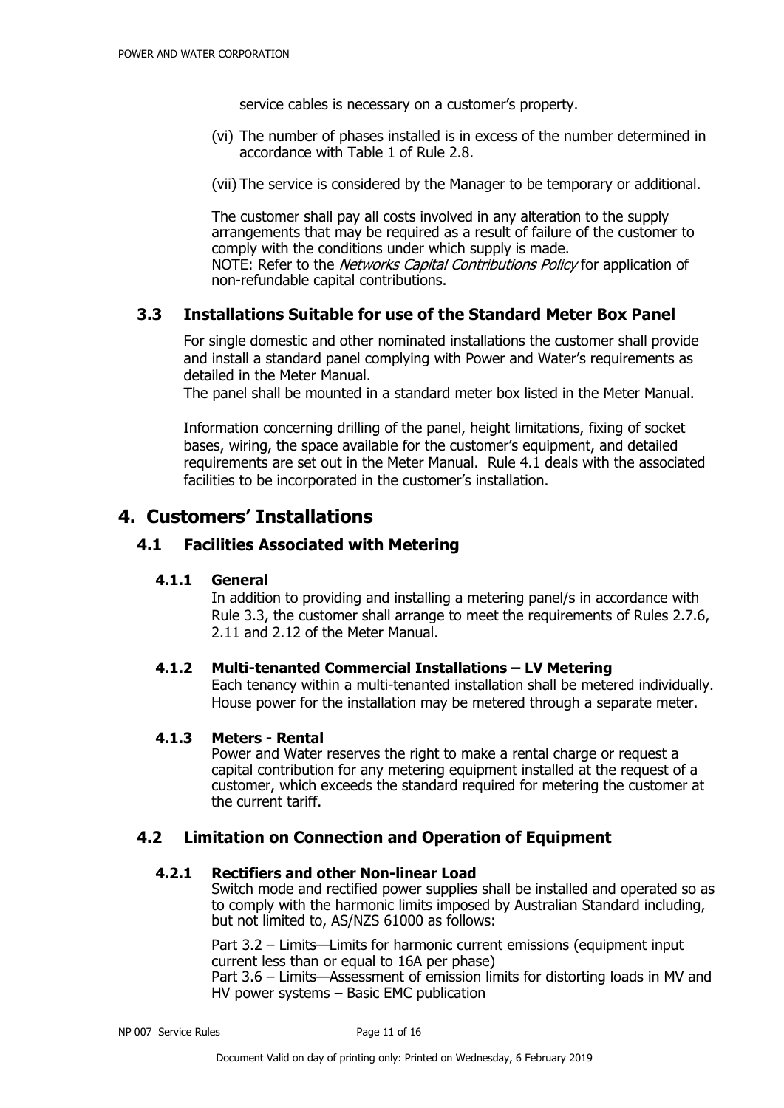service cables is necessary on a customer's property.

(vi) The number of phases installed is in excess of the number determined in accordance with Table 1 of Rule 2.8.

(vii) The service is considered by the Manager to be temporary or additional.

The customer shall pay all costs involved in any alteration to the supply arrangements that may be required as a result of failure of the customer to comply with the conditions under which supply is made. NOTE: Refer to the Networks Capital Contributions Policy for application of non-refundable capital contributions.

# **3.3 Installations Suitable for use of the Standard Meter Box Panel**

For single domestic and other nominated installations the customer shall provide and install a standard panel complying with Power and Water's requirements as detailed in the Meter Manual.

The panel shall be mounted in a standard meter box listed in the Meter Manual.

Information concerning drilling of the panel, height limitations, fixing of socket bases, wiring, the space available for the customer's equipment, and detailed requirements are set out in the Meter Manual. Rule 4.1 deals with the associated facilities to be incorporated in the customer's installation.

# **4. Customers' Installations**

# **4.1 Facilities Associated with Metering**

#### **4.1.1 General**

In addition to providing and installing a metering panel/s in accordance with Rule 3.3, the customer shall arrange to meet the requirements of Rules 2.7.6, 2.11 and 2.12 of the Meter Manual.

# **4.1.2 Multi-tenanted Commercial Installations – LV Metering**

Each tenancy within a multi-tenanted installation shall be metered individually. House power for the installation may be metered through a separate meter.

#### **4.1.3 Meters - Rental**

Power and Water reserves the right to make a rental charge or request a capital contribution for any metering equipment installed at the request of a customer, which exceeds the standard required for metering the customer at the current tariff.

#### **4.2 Limitation on Connection and Operation of Equipment**

### **4.2.1 Rectifiers and other Non-linear Load**

Switch mode and rectified power supplies shall be installed and operated so as to comply with the harmonic limits imposed by Australian Standard including, but not limited to, AS/NZS 61000 as follows:

Part 3.2 – Limits—Limits for harmonic current emissions (equipment input current less than or equal to 16A per phase) Part 3.6 – Limits—Assessment of emission limits for distorting loads in MV and HV power systems – Basic EMC publication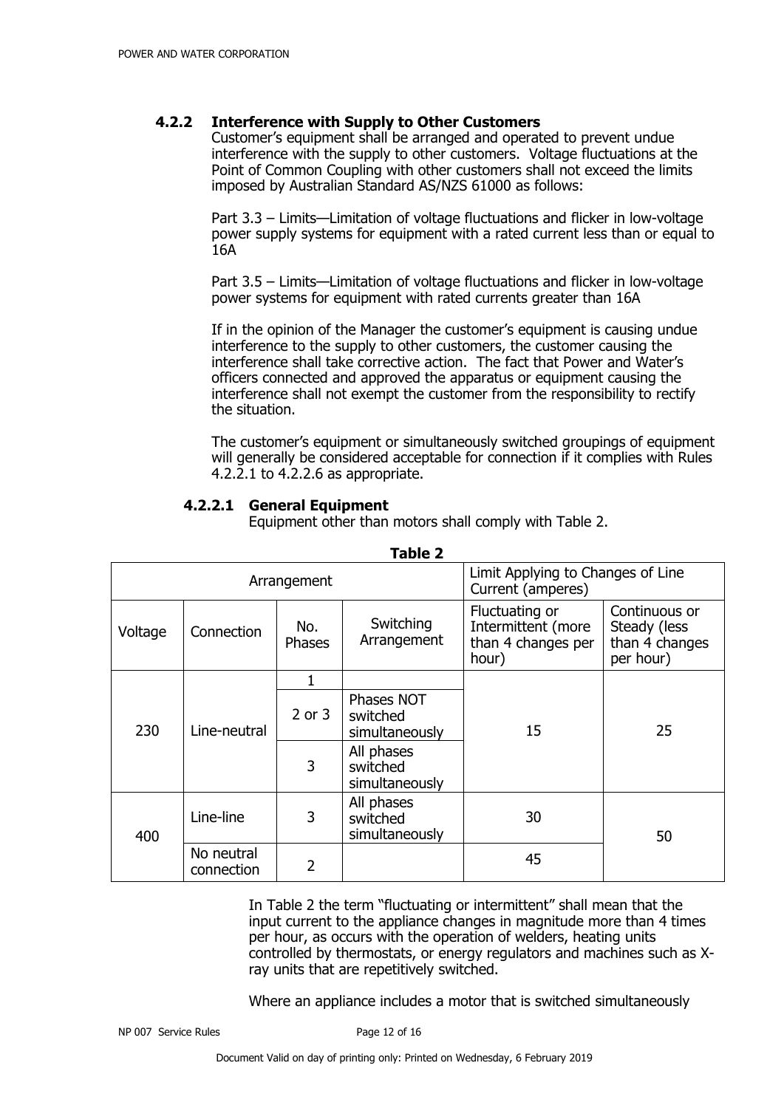### **4.2.2 Interference with Supply to Other Customers**

Customer's equipment shall be arranged and operated to prevent undue interference with the supply to other customers. Voltage fluctuations at the Point of Common Coupling with other customers shall not exceed the limits imposed by Australian Standard AS/NZS 61000 as follows:

Part 3.3 – Limits—Limitation of voltage fluctuations and flicker in low-voltage power supply systems for equipment with a rated current less than or equal to 16A

Part 3.5 – Limits—Limitation of voltage fluctuations and flicker in low-voltage power systems for equipment with rated currents greater than 16A

If in the opinion of the Manager the customer's equipment is causing undue interference to the supply to other customers, the customer causing the interference shall take corrective action. The fact that Power and Water's officers connected and approved the apparatus or equipment causing the interference shall not exempt the customer from the responsibility to rectify the situation.

The customer's equipment or simultaneously switched groupings of equipment will generally be considered acceptable for connection if it complies with Rules 4.2.2.1 to 4.2.2.6 as appropriate.

# **4.2.2.1 General Equipment**

Equipment other than motors shall comply with Table 2.

| Arrangement |                          |                |                                          | Limit Applying to Changes of Line<br>Current (amperes)              |                                                              |
|-------------|--------------------------|----------------|------------------------------------------|---------------------------------------------------------------------|--------------------------------------------------------------|
| Voltage     | Connection               | No.<br>Phases  | Switching<br>Arrangement                 | Fluctuating or<br>Intermittent (more<br>than 4 changes per<br>hour) | Continuous or<br>Steady (less<br>than 4 changes<br>per hour) |
| 230         |                          | 1              |                                          |                                                                     |                                                              |
|             | Line-neutral             | $2$ or $3$     | Phases NOT<br>switched<br>simultaneously | 15                                                                  | 25                                                           |
|             |                          |                | 3                                        | All phases<br>switched<br>simultaneously                            |                                                              |
| 400         | Line-line                | 3              | All phases<br>switched<br>simultaneously | 30                                                                  | 50                                                           |
|             | No neutral<br>connection | $\overline{2}$ |                                          | 45                                                                  |                                                              |

**Table 2**

In Table 2 the term "fluctuating or intermittent" shall mean that the input current to the appliance changes in magnitude more than 4 times per hour, as occurs with the operation of welders, heating units controlled by thermostats, or energy regulators and machines such as Xray units that are repetitively switched.

Where an appliance includes a motor that is switched simultaneously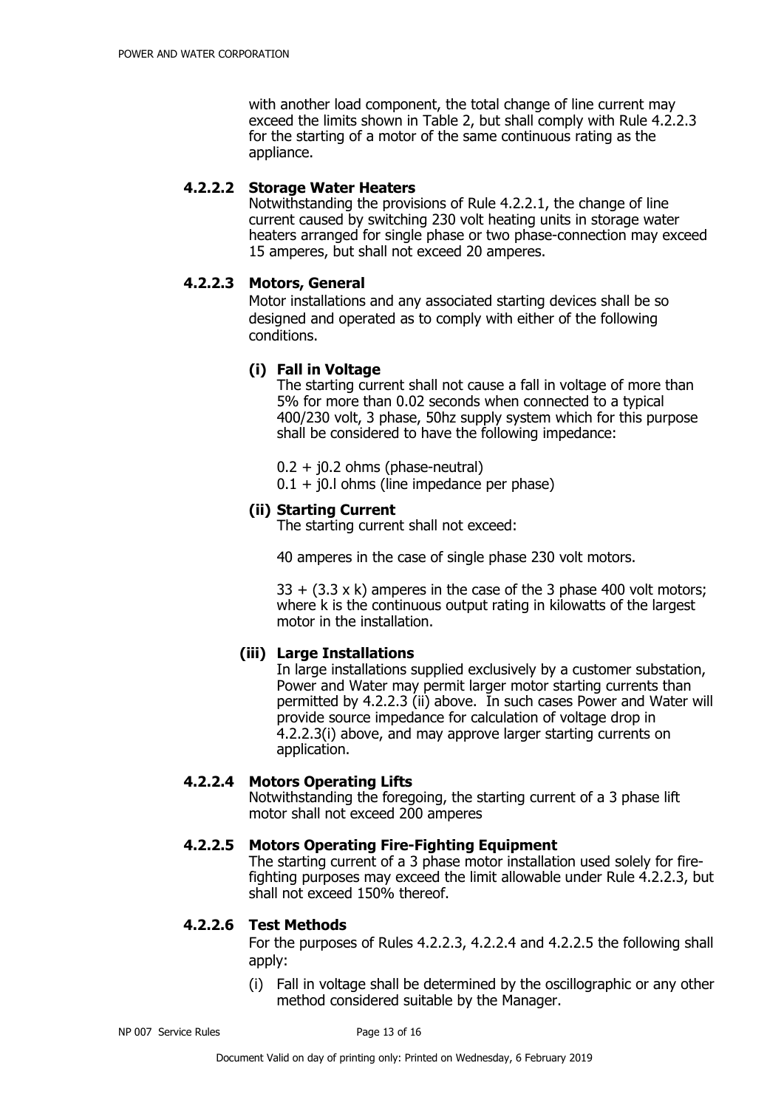with another load component, the total change of line current may exceed the limits shown in Table 2, but shall comply with Rule 4.2.2.3 for the starting of a motor of the same continuous rating as the appliance.

#### **4.2.2.2 Storage Water Heaters**

Notwithstanding the provisions of Rule 4.2.2.1, the change of line current caused by switching 230 volt heating units in storage water heaters arranged for single phase or two phase-connection may exceed 15 amperes, but shall not exceed 20 amperes.

#### **4.2.2.3 Motors, General**

Motor installations and any associated starting devices shall be so designed and operated as to comply with either of the following conditions.

#### **(i) Fall in Voltage**

The starting current shall not cause a fall in voltage of more than 5% for more than 0.02 seconds when connected to a typical 400/230 volt, 3 phase, 50hz supply system which for this purpose shall be considered to have the following impedance:

 $0.2 + j0.2$  ohms (phase-neutral)

 $0.1 + i0.1$  ohms (line impedance per phase)

#### **(ii) Starting Current**

The starting current shall not exceed:

40 amperes in the case of single phase 230 volt motors.

 $33 + (3.3 \times k)$  amperes in the case of the 3 phase 400 volt motors; where k is the continuous output rating in kilowatts of the largest motor in the installation.

# **(iii) Large Installations**

In large installations supplied exclusively by a customer substation, Power and Water may permit larger motor starting currents than permitted by 4.2.2.3 (ii) above. In such cases Power and Water will provide source impedance for calculation of voltage drop in 4.2.2.3(i) above, and may approve larger starting currents on application.

# **4.2.2.4 Motors Operating Lifts**

Notwithstanding the foregoing, the starting current of a 3 phase lift motor shall not exceed 200 amperes

#### **4.2.2.5 Motors Operating Fire-Fighting Equipment**

The starting current of a 3 phase motor installation used solely for firefighting purposes may exceed the limit allowable under Rule 4.2.2.3, but shall not exceed 150% thereof.

#### **4.2.2.6 Test Methods**

For the purposes of Rules 4.2.2.3, 4.2.2.4 and 4.2.2.5 the following shall apply:

(i) Fall in voltage shall be determined by the oscillographic or any other method considered suitable by the Manager.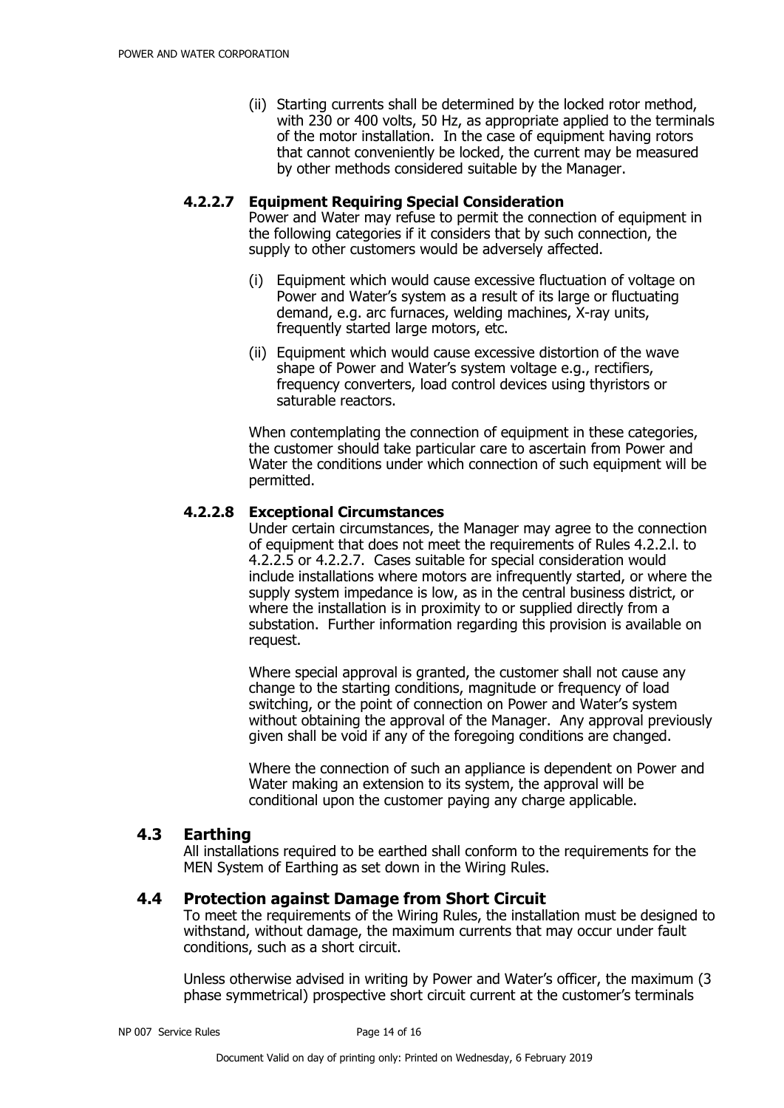(ii) Starting currents shall be determined by the locked rotor method, with 230 or 400 volts, 50 Hz, as appropriate applied to the terminals of the motor installation. In the case of equipment having rotors that cannot conveniently be locked, the current may be measured by other methods considered suitable by the Manager.

#### **4.2.2.7 Equipment Requiring Special Consideration**

Power and Water may refuse to permit the connection of equipment in the following categories if it considers that by such connection, the supply to other customers would be adversely affected.

- (i) Equipment which would cause excessive fluctuation of voltage on Power and Water's system as a result of its large or fluctuating demand, e.g. arc furnaces, welding machines, X-ray units, frequently started large motors, etc.
- (ii) Equipment which would cause excessive distortion of the wave shape of Power and Water's system voltage e.g., rectifiers, frequency converters, load control devices using thyristors or saturable reactors.

When contemplating the connection of equipment in these categories, the customer should take particular care to ascertain from Power and Water the conditions under which connection of such equipment will be permitted.

# **4.2.2.8 Exceptional Circumstances**

Under certain circumstances, the Manager may agree to the connection of equipment that does not meet the requirements of Rules 4.2.2.l. to 4.2.2.5 or 4.2.2.7. Cases suitable for special consideration would include installations where motors are infrequently started, or where the supply system impedance is low, as in the central business district, or where the installation is in proximity to or supplied directly from a substation. Further information regarding this provision is available on request.

Where special approval is granted, the customer shall not cause any change to the starting conditions, magnitude or frequency of load switching, or the point of connection on Power and Water's system without obtaining the approval of the Manager. Any approval previously given shall be void if any of the foregoing conditions are changed.

Where the connection of such an appliance is dependent on Power and Water making an extension to its system, the approval will be conditional upon the customer paying any charge applicable.

# **4.3 Earthing**

All installations required to be earthed shall conform to the requirements for the MEN System of Earthing as set down in the Wiring Rules.

#### **4.4 Protection against Damage from Short Circuit**

To meet the requirements of the Wiring Rules, the installation must be designed to withstand, without damage, the maximum currents that may occur under fault conditions, such as a short circuit.

Unless otherwise advised in writing by Power and Water's officer, the maximum (3 phase symmetrical) prospective short circuit current at the customer's terminals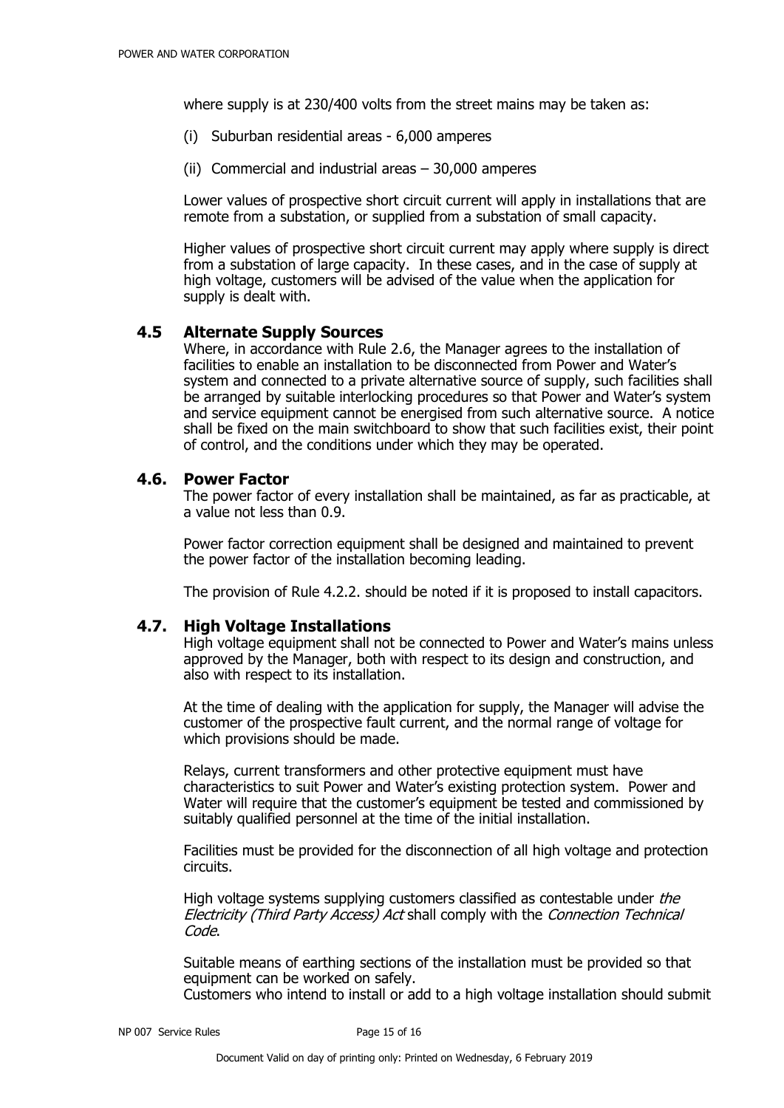where supply is at 230/400 volts from the street mains may be taken as:

- (i) Suburban residential areas 6,000 amperes
- (ii) Commercial and industrial areas 30,000 amperes

Lower values of prospective short circuit current will apply in installations that are remote from a substation, or supplied from a substation of small capacity.

Higher values of prospective short circuit current may apply where supply is direct from a substation of large capacity. In these cases, and in the case of supply at high voltage, customers will be advised of the value when the application for supply is dealt with.

#### **4.5 Alternate Supply Sources**

Where, in accordance with Rule 2.6, the Manager agrees to the installation of facilities to enable an installation to be disconnected from Power and Water's system and connected to a private alternative source of supply, such facilities shall be arranged by suitable interlocking procedures so that Power and Water's system and service equipment cannot be energised from such alternative source. A notice shall be fixed on the main switchboard to show that such facilities exist, their point of control, and the conditions under which they may be operated.

#### **4.6. Power Factor**

The power factor of every installation shall be maintained, as far as practicable, at a value not less than 0.9.

Power factor correction equipment shall be designed and maintained to prevent the power factor of the installation becoming leading.

The provision of Rule 4.2.2. should be noted if it is proposed to install capacitors.

#### **4.7. High Voltage Installations**

High voltage equipment shall not be connected to Power and Water's mains unless approved by the Manager, both with respect to its design and construction, and also with respect to its installation.

At the time of dealing with the application for supply, the Manager will advise the customer of the prospective fault current, and the normal range of voltage for which provisions should be made.

Relays, current transformers and other protective equipment must have characteristics to suit Power and Water's existing protection system. Power and Water will require that the customer's equipment be tested and commissioned by suitably qualified personnel at the time of the initial installation.

Facilities must be provided for the disconnection of all high voltage and protection circuits.

High voltage systems supplying customers classified as contestable under the Electricity (Third Party Access) Act shall comply with the Connection Technical Code.

Suitable means of earthing sections of the installation must be provided so that equipment can be worked on safely.

Customers who intend to install or add to a high voltage installation should submit